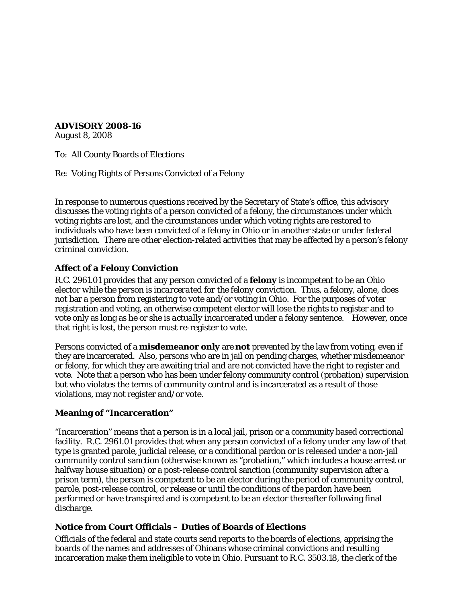**ADVISORY 2008-16**

August 8, 2008

To: All County Boards of Elections

Re: Voting Rights of Persons Convicted of a Felony

In response to numerous questions received by the Secretary of State's office, this advisory discusses the voting rights of a person convicted of a felony, the circumstances under which voting rights are lost, and the circumstances under which voting rights are restored to individuals who have been convicted of a felony in Ohio or in another state or under federal jurisdiction. There are other election-related activities that may be affected by a person's felony criminal conviction.

### **Affect of a Felony Conviction**

R.C. 2961.01 provides that any person convicted of a **felony** is incompetent to be an Ohio elector *while the person is incarcerated for the felony conviction*. Thus, a felony, alone, does not bar a person from registering to vote and/or voting in Ohio. For the purposes of voter registration and voting, an otherwise competent elector will lose the rights to register and to vote only as long as he or she is *actually incarcerated* under a felony sentence. However, once that right is lost, the person must re-register to vote.

Persons convicted of a **misdemeanor only** are **not** prevented by the law from voting, even if they are incarcerated. Also, persons who are in jail on pending charges, whether misdemeanor or felony, for which they are awaiting trial and are not convicted have the right to register and vote. Note that a person who has been under felony community control (probation) supervision but who violates the terms of community control and is incarcerated as a result of those violations, may not register and/or vote.

### **Meaning of "Incarceration"**

"Incarceration" means that a person is in a local jail, prison or a community based correctional facility. R.C. 2961.01 provides that when any person convicted of a felony under any law of that type is granted parole, judicial release, or a conditional pardon or is released under a non-jail community control sanction (otherwise known as "probation," which includes a house arrest or halfway house situation) or a post-release control sanction (community supervision after a prison term), the person is competent to be an elector during the period of community control, parole, post-release control, or release or until the conditions of the pardon have been performed or have transpired and is competent to be an elector thereafter following final discharge.

### **Notice from Court Officials – Duties of Boards of Elections**

Officials of the federal and state courts send reports to the boards of elections, apprising the boards of the names and addresses of Ohioans whose criminal convictions and resulting incarceration make them ineligible to vote in Ohio. Pursuant to R.C. 3503.18, the clerk of the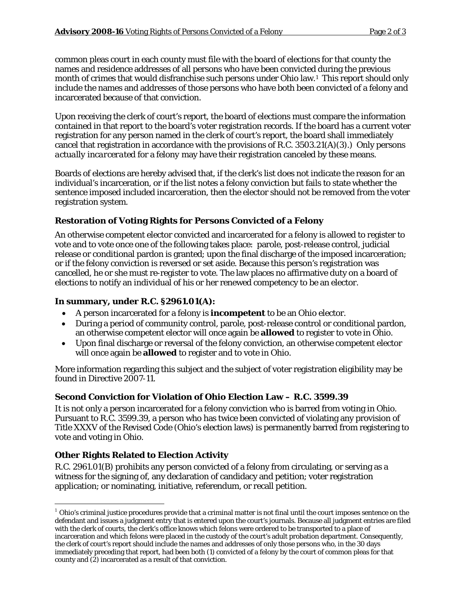common pleas court in each county must file with the board of elections for that county the names and residence addresses of all persons who have been convicted during the previous month of crimes that would disfranchise such persons under Ohio law.<sup>1</sup> This report should only include the names and addresses of those persons who have both been convicted of a felony and incarcerated because of that conviction.

Upon receiving the clerk of court's report, the board of elections must compare the information contained in that report to the board's voter registration records. If the board has a current voter registration for any person named in the clerk of court's report, the board shall immediately cancel that registration in accordance with the provisions of R.C. 3503.21(A)(3).) Only persons *actually incarcerated* for a *felony* may have their registration canceled by these means.

Boards of elections are hereby advised that, if the clerk's list does not indicate the reason for an individual's incarceration, or if the list notes a felony conviction but fails to state whether the sentence imposed included incarceration, then the elector should not be removed from the voter registration system.

## **Restoration of Voting Rights for Persons Convicted of a Felony**

An otherwise competent elector convicted and incarcerated for a felony is allowed to register to vote and to vote once one of the following takes place: parole, post-release control, judicial release or conditional pardon is granted; upon the final discharge of the imposed incarceration; or if the felony conviction is reversed or set aside. Because this person's registration was cancelled, he or she must re-register to vote. The law places no affirmative duty on a board of elections to notify an individual of his or her renewed competency to be an elector.

## **In summary, under R.C. §2961.01(A):**

- A person incarcerated for a felony is **incompetent** to be an Ohio elector.
- During a period of community control, parole, post-release control or conditional pardon, an otherwise competent elector will once again be **allowed** to register to vote in Ohio.
- Upon final discharge or reversal of the felony conviction, an otherwise competent elector will once again be **allowed** to register and to vote in Ohio.

More information regarding this subject and the subject of voter registration eligibility may be found in Directive 2007-11.

## **Second Conviction for Violation of Ohio Election Law – R.C. 3599.39**

It is not only a person incarcerated for a felony conviction who is barred from voting in Ohio. Pursuant to R.C. 3599.39, a person who has twice been convicted of violating any provision of Title XXXV of the Revised Code (Ohio's election laws) is permanently barred from registering to vote and voting in Ohio.

# **Other Rights Related to Election Activity**

R.C. 2961.01(B) prohibits any person convicted of a felony from circulating, or serving as a witness for the signing of, any declaration of candidacy and petition; voter registration application; or nominating, initiative, referendum, or recall petition.

<span id="page-1-0"></span> $<sup>1</sup>$  Ohio's criminal justice procedures provide that a criminal matter is not final until the court imposes sentence on the</sup> defendant and issues a judgment entry that is entered upon the court's journals. Because all judgment entries are filed with the clerk of courts, the clerk's office knows which felons were ordered to be transported to a place of incarceration and which felons were placed in the custody of the court's adult probation department. Consequently, the clerk of court's report should include the names and addresses of only those persons who, in the 30 days immediately preceding that report, had been both (1) convicted of a felony by the court of common pleas for that county and (2) incarcerated as a result of that conviction.